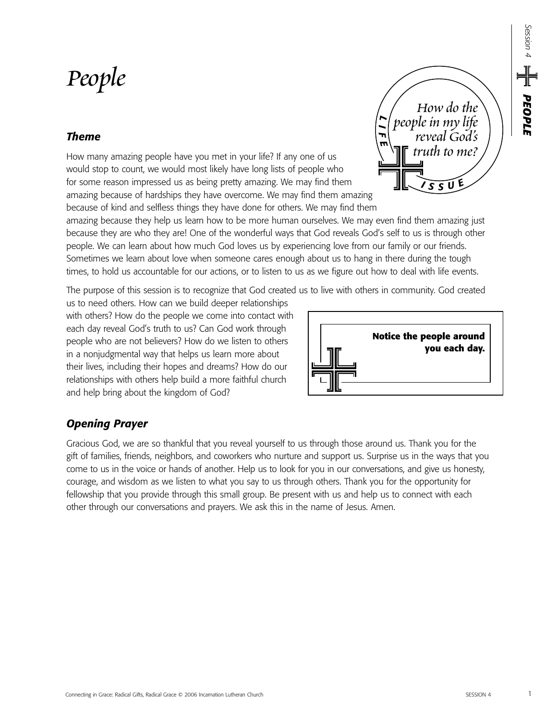*Session 4*

*PEOPLE*

#### Connecting in Grace: Radical Gifts, Radical Grace © 2006 Incarnation Lutheran Church SESSION 4 1

# *People*

*Opening Prayer* 

# *Theme*

How many amazing people have you met in your life? If any one of us would stop to count, we would most likely have long lists of people who for some reason impressed us as being pretty amazing. We may find them amazing because of hardships they have overcome. We may find them amazing because of kind and selfless things they have done for others. We may find them

amazing because they help us learn how to be more human ourselves. We may even find them amazing just because they are who they are! One of the wonderful ways that God reveals God's self to us is through other people. We can learn about how much God loves us by experiencing love from our family or our friends. Sometimes we learn about love when someone cares enough about us to hang in there during the tough times, to hold us accountable for our actions, or to listen to us as we figure out how to deal with life events.

The purpose of this session is to recognize that God created us to live with others in community. God created

us to need others. How can we build deeper relationships with others? How do the people we come into contact with each day reveal God's truth to us? Can God work through people who are not believers? How do we listen to others in a nonjudgmental way that helps us learn more about their lives, including their hopes and dreams? How do our relationships with others help build a more faithful church and help bring about the kingdom of God?

## Gracious God, we are so thankful that you reveal yourself to us through those around us. Thank you for the gift of families, friends, neighbors, and coworkers who nurture and support us. Surprise us in the ways that you come to us in the voice or hands of another. Help us to look for you in our conversations, and give us honesty, courage, and wisdom as we listen to what you say to us through others. Thank you for the opportunity for fellowship that you provide through this small group. Be present with us and help us to connect with each other through our conversations and prayers. We ask this in the name of Jesus. Amen.



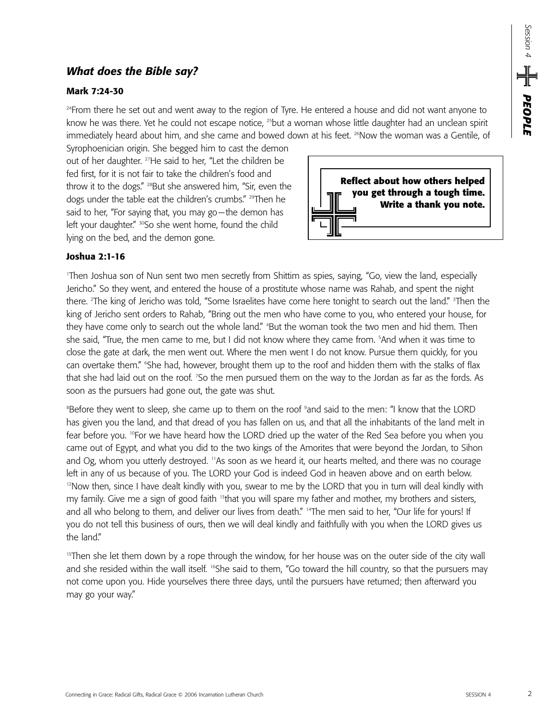# *What does the Bible say?*

#### **Mark 7:24-30**

<sup>24</sup>From there he set out and went away to the region of Tyre. He entered a house and did not want anyone to know he was there. Yet he could not escape notice, <sup>25</sup>but a woman whose little daughter had an unclean spirit immediately heard about him, and she came and bowed down at his feet. <sup>26</sup>Now the woman was a Gentile, of

Syrophoenician origin. She begged him to cast the demon out of her daughter. <sup>27</sup>He said to her, "Let the children be fed first, for it is not fair to take the children's food and throw it to the dogs." <sup>28</sup>But she answered him, "Sir, even the dogs under the table eat the children's crumbs." 29Then he said to her, "For saying that, you may go—the demon has left your daughter." <sup>30</sup>So she went home, found the child lying on the bed, and the demon gone.



#### **Joshua 2:1-16**

1 Then Joshua son of Nun sent two men secretly from Shittim as spies, saying, "Go, view the land, especially Jericho." So they went, and entered the house of a prostitute whose name was Rahab, and spent the night there. <sup>2</sup>The king of Jericho was told, "Some Israelites have come here tonight to search out the land." <sup>3</sup>Then the king of Jericho sent orders to Rahab, "Bring out the men who have come to you, who entered your house, for they have come only to search out the whole land." "But the woman took the two men and hid them. Then she said, "True, the men came to me, but I did not know where they came from. 5 And when it was time to close the gate at dark, the men went out. Where the men went I do not know. Pursue them quickly, for you can overtake them." "She had, however, brought them up to the roof and hidden them with the stalks of flax that she had laid out on the roof. 7 So the men pursued them on the way to the Jordan as far as the fords. As soon as the pursuers had gone out, the gate was shut.

Before they went to sleep, she came up to them on the roof <sup>9</sup>and said to the men: "I know that the LORD has given you the land, and that dread of you has fallen on us, and that all the inhabitants of the land melt in fear before you. <sup>10</sup>For we have heard how the LORD dried up the water of the Red Sea before you when you came out of Egypt, and what you did to the two kings of the Amorites that were beyond the Jordan, to Sihon and Og, whom you utterly destroyed. <sup>11</sup>As soon as we heard it, our hearts melted, and there was no courage left in any of us because of you. The LORD your God is indeed God in heaven above and on earth below. <sup>12</sup>Now then, since I have dealt kindly with you, swear to me by the LORD that you in turn will deal kindly with my family. Give me a sign of good faith <sup>13</sup>that you will spare my father and mother, my brothers and sisters, and all who belong to them, and deliver our lives from death." <sup>14</sup>The men said to her, "Our life for yours! If you do not tell this business of ours, then we will deal kindly and faithfully with you when the LORD gives us the land"

<sup>15</sup>Then she let them down by a rope through the window, for her house was on the outer side of the city wall and she resided within the wall itself. <sup>16</sup>She said to them, "Go toward the hill country, so that the pursuers may not come upon you. Hide yourselves there three days, until the pursuers have returned; then afterward you may go your way."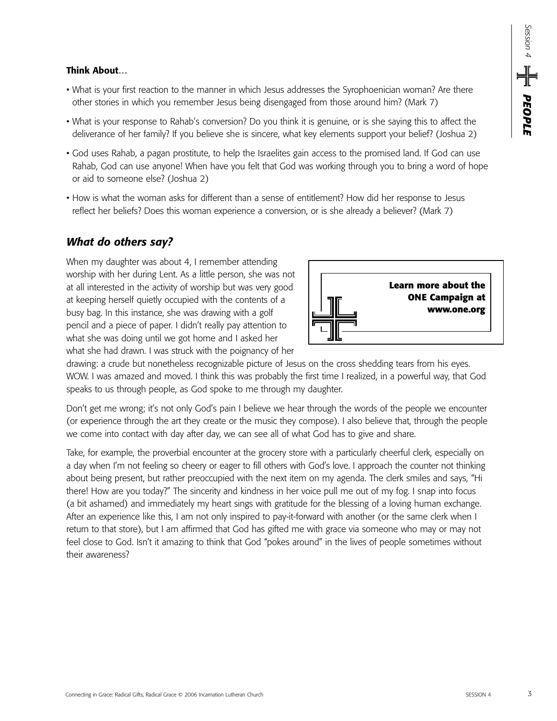#### **Think About…**

- What is your first reaction to the manner in which Jesus addresses the Syrophoenician woman? Are there other stories in which you remember Jesus being disengaged from those around him? (Mark 7)
- What is your response to Rahab's conversion? Do you think it is genuine, or is she saying this to affect the deliverance of her family? If you believe she is sincere, what key elements support your belief? (Joshua 2)
- God uses Rahab, a pagan prostitute, to help the Israelites gain access to the promised land. If God can use Rahab, God can use anyone! When have you felt that God was working through you to bring a word of hope or aid to someone else? (Joshua 2)
- How is what the woman asks for different than a sense of entitlement? How did her response to Jesus reflect her beliefs? Does this woman experience a conversion, or is she already a believer? (Mark 7)

# *What do others say?*

When my daughter was about 4, I remember attending worship with her during Lent. As a little person, she was not at all interested in the activity of worship but was very good at keeping herself quietly occupied with the contents of a busy bag. In this instance, she was drawing with a golf pencil and a piece of paper. I didn't really pay attention to what she was doing until we got home and I asked her what she had drawn. I was struck with the poignancy of her



drawing: a crude but nonetheless recognizable picture of Jesus on the cross shedding tears from his eyes. WOW. I was amazed and moved. I think this was probably the first time I realized, in a powerful way, that God speaks to us through people, as God spoke to me through my daughter.

Don't get me wrong; it's not only God's pain I believe we hear through the words of the people we encounter (or experience through the art they create or the music they compose). I also believe that, through the people we come into contact with day after day, we can see all of what God has to give and share.

Take, for example, the proverbial encounter at the grocery store with a particularly cheerful clerk, especially on a day when I'm not feeling so cheery or eager to fill others with God's love. I approach the counter not thinking about being present, but rather preoccupied with the next item on my agenda. The clerk smiles and says, "Hi there! How are you today?" The sincerity and kindness in her voice pull me out of my fog. I snap into focus (a bit ashamed) and immediately my heart sings with gratitude for the blessing of a loving human exchange. After an experience like this, I am not only inspired to pay-it-forward with another (or the same clerk when I return to that store), but I am affirmed that God has gifted me with grace via someone who may or may not feel close to God. Isn't it amazing to think that God "pokes around" in the lives of people sometimes without their awareness?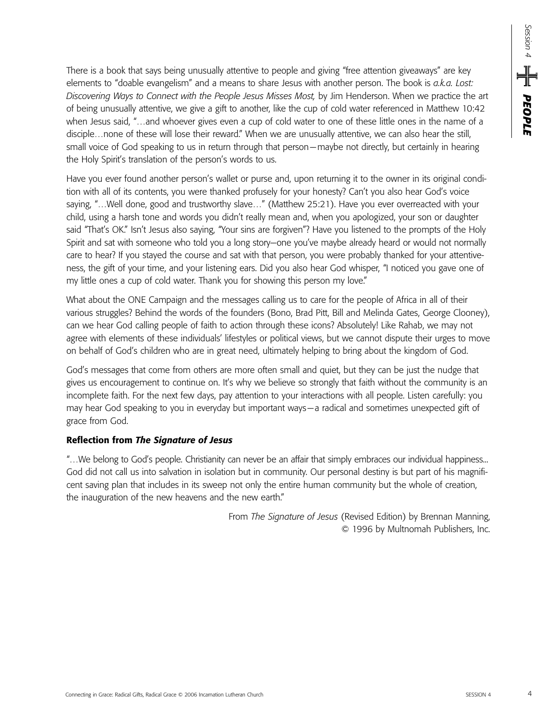There is a book that says being unusually attentive to people and giving "free attention giveaways" are key elements to "doable evangelism" and a means to share Jesus with another person. The book is *a.k.a. Lost: Discovering Ways to Connect with the People Jesus Misses Most,* by Jim Henderson. When we practice the art of being unusually attentive, we give a gift to another, like the cup of cold water referenced in Matthew 10:42 when Jesus said, "…and whoever gives even a cup of cold water to one of these little ones in the name of a disciple…none of these will lose their reward." When we are unusually attentive, we can also hear the still, small voice of God speaking to us in return through that person—maybe not directly, but certainly in hearing the Holy Spirit's translation of the person's words to us.

Have you ever found another person's wallet or purse and, upon returning it to the owner in its original condition with all of its contents, you were thanked profusely for your honesty? Can't you also hear God's voice saying, "…Well done, good and trustworthy slave…" (Matthew 25:21). Have you ever overreacted with your child, using a harsh tone and words you didn't really mean and, when you apologized, your son or daughter said "That's OK." Isn't Jesus also saying, "Your sins are forgiven"? Have you listened to the prompts of the Holy Spirit and sat with someone who told you a long story—one you've maybe already heard or would not normally care to hear? If you stayed the course and sat with that person, you were probably thanked for your attentiveness, the gift of your time, and your listening ears. Did you also hear God whisper, "I noticed you gave one of my little ones a cup of cold water. Thank you for showing this person my love."

What about the ONE Campaign and the messages calling us to care for the people of Africa in all of their various struggles? Behind the words of the founders (Bono, Brad Pitt, Bill and Melinda Gates, George Clooney), can we hear God calling people of faith to action through these icons? Absolutely! Like Rahab, we may not agree with elements of these individuals' lifestyles or political views, but we cannot dispute their urges to move on behalf of God's children who are in great need, ultimately helping to bring about the kingdom of God.

God's messages that come from others are more often small and quiet, but they can be just the nudge that gives us encouragement to continue on. It's why we believe so strongly that faith without the community is an incomplete faith. For the next few days, pay attention to your interactions with all people. Listen carefully: you may hear God speaking to you in everyday but important ways—a radical and sometimes unexpected gift of grace from God.

#### **Reflection from** *The Signature of Jesus*

"…We belong to God's people. Christianity can never be an affair that simply embraces our individual happiness... God did not call us into salvation in isolation but in community. Our personal destiny is but part of his magnificent saving plan that includes in its sweep not only the entire human community but the whole of creation, the inauguration of the new heavens and the new earth."

> From *The Signature of Jesus* (Revised Edition) by Brennan Manning, © 1996 by Multnomah Publishers, Inc.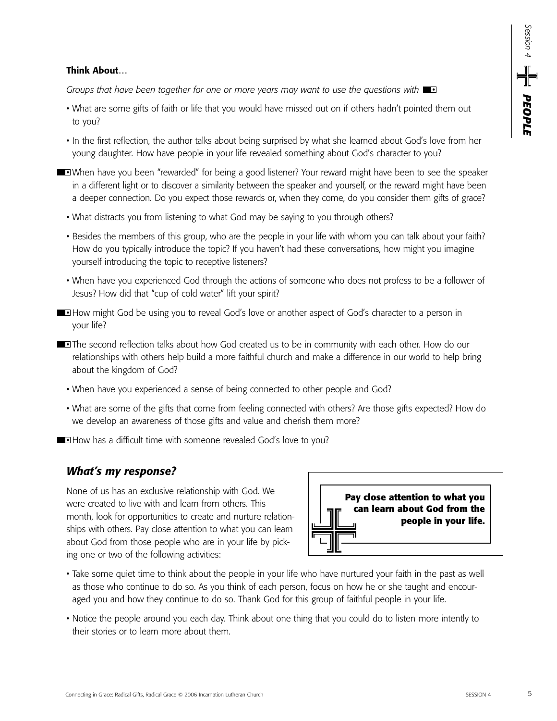#### **Think About…**

*Groups that have been together for one or more years may want to use the questions with* 

- What are some gifts of faith or life that you would have missed out on if others hadn't pointed them out to you?
- In the first reflection, the author talks about being surprised by what she learned about God's love from her young daughter. How have people in your life revealed something about God's character to you?
- When have you been "rewarded" for being a good listener? Your reward might have been to see the speaker in a different light or to discover a similarity between the speaker and yourself, or the reward might have been a deeper connection. Do you expect those rewards or, when they come, do you consider them gifts of grace?
	- What distracts you from listening to what God may be saying to you through others?
	- Besides the members of this group, who are the people in your life with whom you can talk about your faith? How do you typically introduce the topic? If you haven't had these conversations, how might you imagine yourself introducing the topic to receptive listeners?
	- When have you experienced God through the actions of someone who does not profess to be a follower of Jesus? How did that "cup of cold water" lift your spirit?
- **How might God be using you to reveal God's love or another aspect of God's character to a person in** your life?
- **The second reflection talks about how God created us to be in community with each other. How do our** relationships with others help build a more faithful church and make a difference in our world to help bring about the kingdom of God?
	- When have you experienced a sense of being connected to other people and God?
	- What are some of the gifts that come from feeling connected with others? Are those gifts expected? How do we develop an awareness of those gifts and value and cherish them more?
- **How has a difficult time with someone revealed God's love to you?**

### *What's my response?*

None of us has an exclusive relationship with God. We were created to live with and learn from others. This month, look for opportunities to create and nurture relationships with others. Pay close attention to what you can learn about God from those people who are in your life by picking one or two of the following activities:



- Take some quiet time to think about the people in your life who have nurtured your faith in the past as well as those who continue to do so. As you think of each person, focus on how he or she taught and encouraged you and how they continue to do so. Thank God for this group of faithful people in your life.
- Notice the people around you each day. Think about one thing that you could do to listen more intently to their stories or to learn more about them.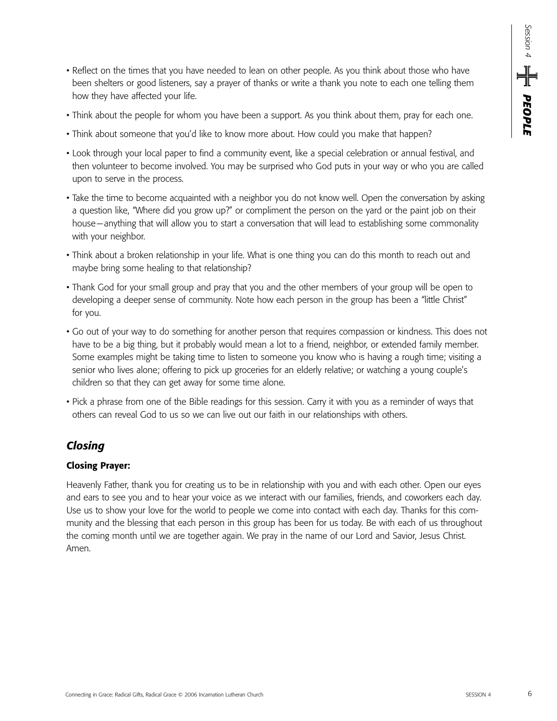- Reflect on the times that you have needed to lean on other people. As you think about those who have been shelters or good listeners, say a prayer of thanks or write a thank you note to each one telling them how they have affected your life.
- Think about the people for whom you have been a support. As you think about them, pray for each one.
- Think about someone that you'd like to know more about. How could you make that happen?
- Look through your local paper to find a community event, like a special celebration or annual festival, and then volunteer to become involved. You may be surprised who God puts in your way or who you are called upon to serve in the process.
- Take the time to become acquainted with a neighbor you do not know well. Open the conversation by asking a question like, "Where did you grow up?" or compliment the person on the yard or the paint job on their house—anything that will allow you to start a conversation that will lead to establishing some commonality with your neighbor.
- Think about a broken relationship in your life. What is one thing you can do this month to reach out and maybe bring some healing to that relationship?
- Thank God for your small group and pray that you and the other members of your group will be open to developing a deeper sense of community. Note how each person in the group has been a "little Christ" for you.
- Go out of your way to do something for another person that requires compassion or kindness. This does not have to be a big thing, but it probably would mean a lot to a friend, neighbor, or extended family member. Some examples might be taking time to listen to someone you know who is having a rough time; visiting a senior who lives alone; offering to pick up groceries for an elderly relative; or watching a young couple's children so that they can get away for some time alone.
- Pick a phrase from one of the Bible readings for this session. Carry it with you as a reminder of ways that others can reveal God to us so we can live out our faith in our relationships with others.

# *Closing*

#### **Closing Prayer:**

Heavenly Father, thank you for creating us to be in relationship with you and with each other. Open our eyes and ears to see you and to hear your voice as we interact with our families, friends, and coworkers each day. Use us to show your love for the world to people we come into contact with each day. Thanks for this community and the blessing that each person in this group has been for us today. Be with each of us throughout the coming month until we are together again. We pray in the name of our Lord and Savior, Jesus Christ. Amen.